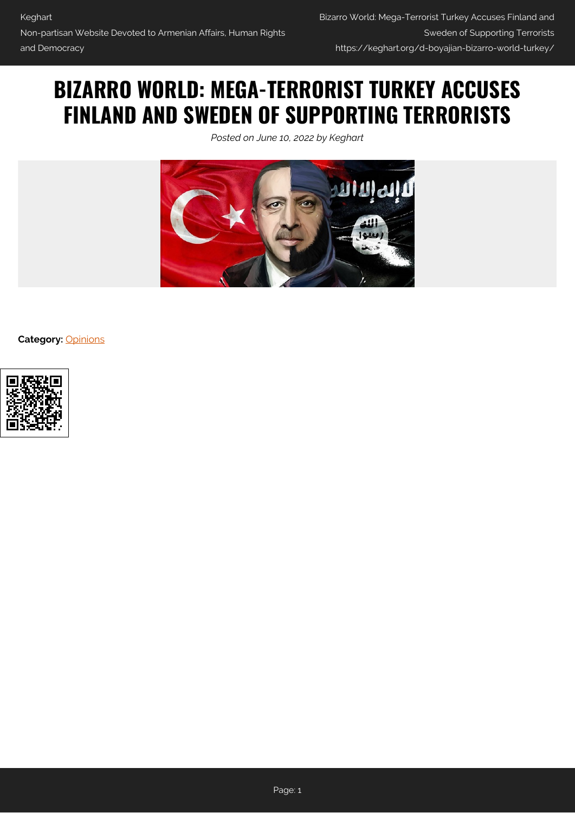# **BIZARRO WORLD: MEGA-TERRORIST TURKEY ACCUSES FINLAND AND SWEDEN OF SUPPORTING TERRORISTS**

*Posted on June 10, 2022 by Keghart*



**Category:** [Opinions](https://keghart.org/category/opinions/)

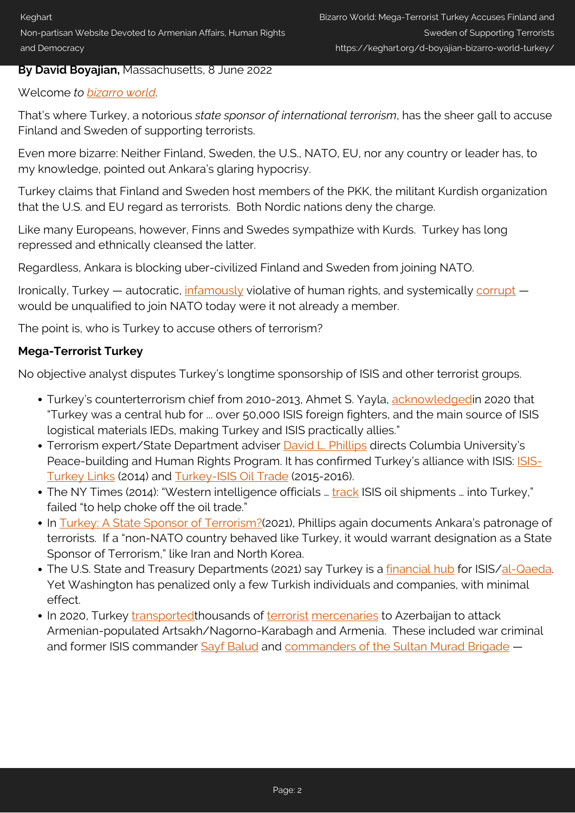Non-partisan Website Devoted to Armenian Affairs, Human Rights and Democracy

### **By David Boyajian,** Massachusetts, 8 June 2022

### Welcome *to [bizarro world](https://www.urbandictionary.com/define.php?term=bizarro%20world)*.

That's where Turkey, a notorious *state sponsor of international terrorism*, has the sheer gall to accuse Finland and Sweden of supporting terrorists.

Even more bizarre: Neither Finland, Sweden, the U.S., NATO, EU, nor any country or leader has, to my knowledge, pointed out Ankara's glaring hypocrisy.

Turkey claims that Finland and Sweden host members of the PKK, the militant Kurdish organization that the U.S. and EU regard as terrorists. Both Nordic nations deny the charge.

Like many Europeans, however, Finns and Swedes sympathize with Kurds. Turkey has long repressed and ethnically cleansed the latter.

Regardless, Ankara is blocking uber-civilized Finland and Sweden from joining NATO.

Ironically, Turkey — autocratic,  $\frac{infamously}{i}$  violative of human rights, and systemically [corrupt](https://www.al-monitor.com/originals/2022/02/turkey-sinks-corruption-index-activists-point-public-tender-system) would be unqualified to join NATO today were it not already a member.

The point is, who is Turkey to accuse others of terrorism?

## **Mega-Terrorist Turkey**

No objective analyst disputes Turkey's longtime sponsorship of ISIS and other terrorist groups.

- Turkey's counterterrorism chief from 2010-2013, Ahmet S. Yayla, [acknowledged](https://www.researchgate.net/publication/339774401_Try_Erdogan_at_the_International_Criminal_Court_for_Enabling_ISIS)in 2020 that "Turkey was a central hub for ... over 50,000 ISIS foreign fighters, and the main source of ISIS logistical materials IEDs, making Turkey and ISIS practically allies."
- Terrorism expert/State Department adviser [David L. Phillips](http://www.humanrightscolumbia.org/peace-building/phillips-commentaries) directs Columbia University's Peace-building and Human Rights Program. It has confirmed Turkey's alliance with ISIS: [ISIS-](https://www.huffpost.com/entry/research-paper-isis-turke_b_6128950)[Turkey Links](https://www.huffpost.com/entry/research-paper-isis-turke_b_6128950) (2014) and [Turkey-ISIS Oil Trade](https://na01.safelinks.protection.outlook.com/?url=https%3A%2F%2Fwww.huffpost.com%2Fentry%2Fresearch-paper-turkey-isi_b_8808024&data=04%7C01%7C%7C20eece0cd6ba45dea51408d93a72be10%7C84df9e7fe9f640afb435aaaaaaaaaaaa%7C1%7C0%7C637605086761336580%7CUnknown%7CTWFpbGZsb3d8eyJWIjoiMC4wLjAwMDAiLCJQIjoiV2luMzIiLCJBTiI6Ik1haWwiLCJXVCI6Mn0%3D%7C1000&sdata=9QjhysGPswOj3XW4qzax0UTrNfBRD7X4uV0byid6P3Q%3D&reserved=0) (2015-2016).
- The NY Times (2014): "Western intelligence officials ... [track](https://www.nytimes.com/2014/09/14/world/middleeast/struggling-to-starve-isis-of-oil-revenue-us-seeks-assistance-from-turkey.html) ISIS oil shipments ... into Turkey," failed "to help choke off the oil trade."
- In [Turkey: A State Sponsor of Terrorism?](https://na01.safelinks.protection.outlook.com/?url=https%3A%2F%2Fwww.neweurope.eu%2Farticle%2Fturkey-a-state-sponsor-of-terrorism%2F&data=04%7C01%7C%7C20eece0cd6ba45dea51408d93a72be10%7C84df9e7fe9f640afb435aaaaaaaaaaaa%7C1%7C0%7C637605086761336580%7CUnknown%7CTWFpbGZsb3d8eyJWIjoiMC4wLjAwMDAiLCJQIjoiV2luMzIiLCJBTiI6Ik1haWwiLCJXVCI6Mn0%3D%7C1000&sdata=0kLvI8SP4pvGIEL9aG13VtPN1yYOq4gNBiYFmxexzAQ%3D&reserved=0)(2021), Phillips again documents Ankara's patronage of terrorists. If a "non-NATO country behaved like Turkey, it would warrant designation as a State Sponsor of Terrorism," like Iran and North Korea.
- The U.S. State and Treasury Departments (2021) say Turkey is a [financial hub](https://www.state.gov/the-united-states-designates-isis-financial-facilitators/) for ISIS/[al-Qaeda](https://www.wilsoncenter.org/article/us-sanctions-isis-financial-network). Yet Washington has penalized only a few Turkish individuals and companies, with minimal effect.
- In 2020, Turkey [transported](https://www.bbc.com/news/stories-55238803)thousands of [terrorist](https://armenian.usc.edu/turkish-syrian-mercenary-groups-in-karabakh-fighting-a-compilation/) [mercenaries](https://akmckeever.com/2020/10/26/sna-mercenaries-in-azerbaijan-the-visual-evidence/) to Azerbaijan to attack Armenian-populated Artsakh/Nagorno-Karabagh and Armenia. These included war criminal and former ISIS commander [Sayf Balud](https://nationalpost.com/news/armenia-azerbaijan-accuse-each-other-of-cross-border-attacks-civilian-toll-climbs) and [commanders of the Sultan Murad Brigade](http://www.humanrightscolumbia.org/peace-building/perpetrators) -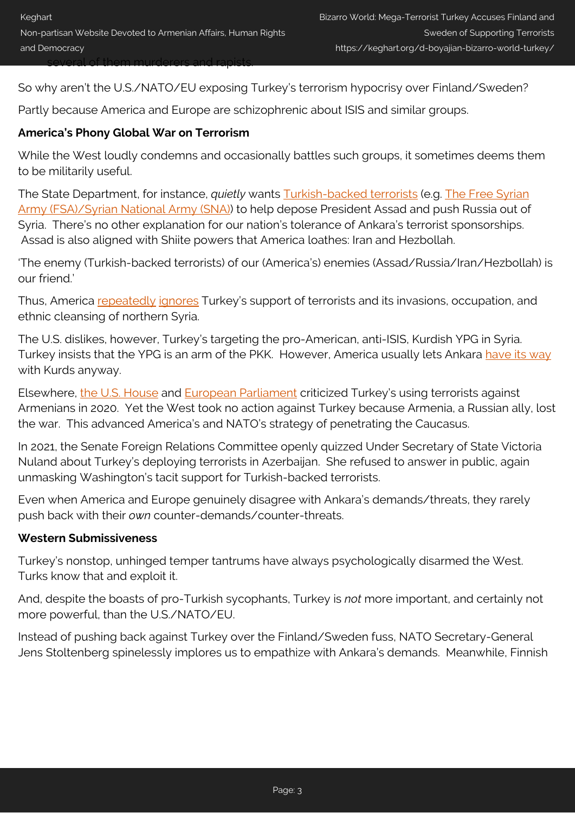So why aren't the U.S./NATO/EU exposing Turkey's terrorism hypocrisy over Finland/Sweden?

Partly because America and Europe are schizophrenic about ISIS and similar groups.

### **America's Phony Global War on Terrorism**

While the West loudly condemns and occasionally battles such groups, it sometimes deems them to be militarily useful.

The State Department, for instance, *quietly* wants [Turkish-backed terrorists](https://tfipost.com/2019/12/a-president-or-an-is-operative-erdogans-relations-with-isis-proxies-exposed-by-french-prez-macron/) (e.g. [The Free Syrian](https://foreignpolicy.com/2019/10/14/turkish-backed-forces-freeing-islamic-state-prisoners-syria/) [Army \(FSA\)/Syrian National Army \(SNA\)](https://foreignpolicy.com/2019/10/14/turkish-backed-forces-freeing-islamic-state-prisoners-syria/)) to help depose President Assad and push Russia out of Syria. There's no other explanation for our nation's tolerance of Ankara's terrorist sponsorships. Assad is also aligned with Shiite powers that America loathes: Iran and Hezbollah.

'The enemy (Turkish-backed terrorists) of our (America's) enemies (Assad/Russia/Iran/Hezbollah) is our friend.'

Thus, America [repeatedly](http://www.humanrightscolumbia.org/publications/grotesque-savagery-turkeys-mercenaries) [ignores](https://hawarnews.com/en/haber/how-isis-turned-into-the-syrian-national-army-h12627.html) Turkey's support of terrorists and its invasions, occupation, and ethnic cleansing of northern Syria.

The U.S. dislikes, however, Turkey's targeting the pro-American, anti-ISIS, Kurdish YPG in Syria. Turkey insists that the YPG is an arm of the PKK. However, America usually lets Ankara [have its way](https://foreignpolicy.com/2019/10/14/turkish-backed-forces-freeing-islamic-state-prisoners-syria/) with Kurds anyway.

Elsewhere, [the U.S. House](https://pallone.house.gov/sites/pallone.house.gov/files/20210201%20Armenian%20Caucus%20Letter%20to%20Administration.pdf) and [European Parliament](https://www.azatutyun.am/a/31063486.html) criticized Turkey's using terrorists against Armenians in 2020. Yet the West took no action against Turkey because Armenia, a Russian ally, lost the war. This advanced America's and NATO's strategy of penetrating the Caucasus.

In 2021, the Senate Foreign Relations Committee openly quizzed Under Secretary of State Victoria Nuland about Turkey's deploying terrorists in Azerbaijan. She refused to answer in public, again unmasking Washington's tacit support for Turkish-backed terrorists.

Even when America and Europe genuinely disagree with Ankara's demands/threats, they rarely push back with their *own* counter-demands/counter-threats.

#### **Western Submissiveness**

Turkey's nonstop, unhinged temper tantrums have always psychologically disarmed the West. Turks know that and exploit it.

And, despite the boasts of pro-Turkish sycophants, Turkey is *not* more important, and certainly not more powerful, than the U.S./NATO/EU.

Instead of pushing back against Turkey over the Finland/Sweden fuss, NATO Secretary-General Jens Stoltenberg spinelessly implores us to empathize with Ankara's demands. Meanwhile, Finnish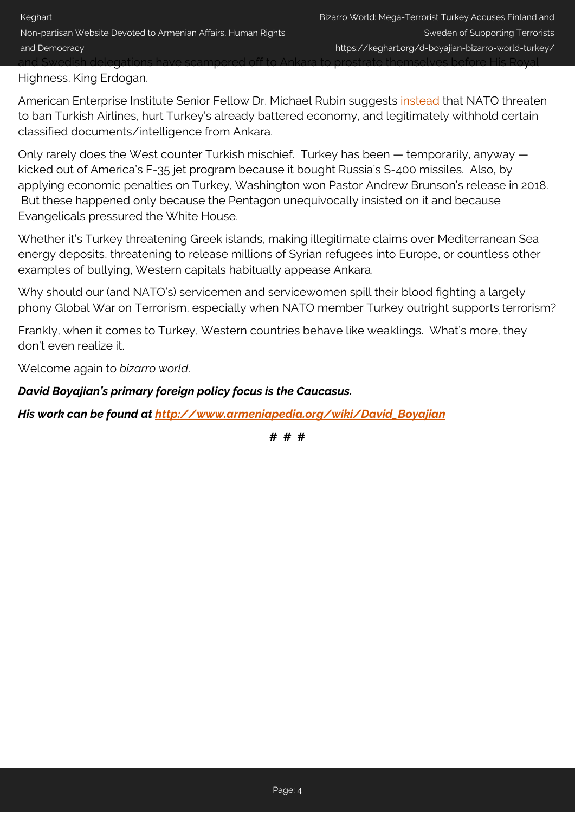Highness, King Erdogan.

American Enterprise Institute Senior Fellow Dr. Michael Rubin suggests [instead](https://www.aei.org/op-eds/turkey-wants-a-bribe-for-allowing-sweden-and-finland-to-join-nato/) that NATO threaten to ban Turkish Airlines, hurt Turkey's already battered economy, and legitimately withhold certain classified documents/intelligence from Ankara.

and Swedish delegations have scampered off to Ankara to prostrate themselves before His Royal

Only rarely does the West counter Turkish mischief. Turkey has been — temporarily, anyway kicked out of America's F-35 jet program because it bought Russia's S-400 missiles. Also, by applying economic penalties on Turkey, Washington won Pastor Andrew Brunson's release in 2018. But these happened only because the Pentagon unequivocally insisted on it and because Evangelicals pressured the White House.

Whether it's Turkey threatening Greek islands, making illegitimate claims over Mediterranean Sea energy deposits, threatening to release millions of Syrian refugees into Europe, or countless other examples of bullying, Western capitals habitually appease Ankara.

Why should our (and NATO's) servicemen and servicewomen spill their blood fighting a largely phony Global War on Terrorism, especially when NATO member Turkey outright supports terrorism?

Frankly, when it comes to Turkey, Western countries behave like weaklings. What's more, they don't even realize it.

Welcome again to *bizarro world*.

*David Boyajian's primary foreign policy focus is the Caucasus.*

*His work can be found at [http://www.armeniapedia.org/wiki/David\\_Boyajian](http://www.armeniapedia.org/wiki/David_Boyajian)*

**# # #**